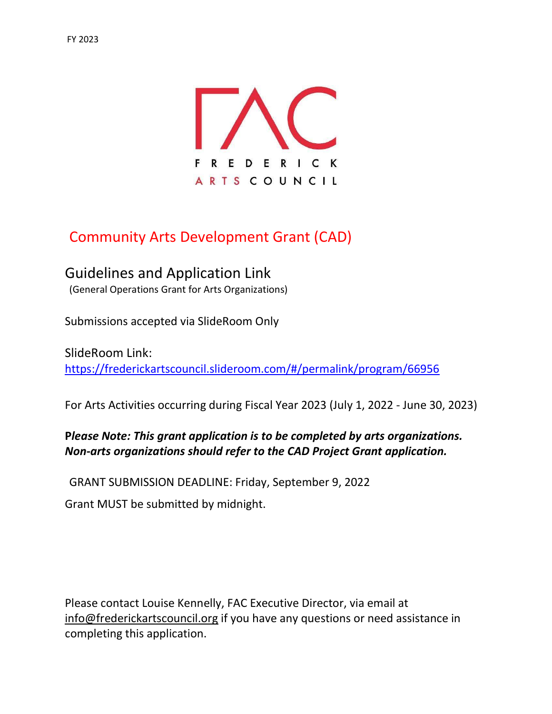

# Community Arts Development Grant (CAD)

Guidelines and Application Link (General Operations Grant for Arts Organizations)

Submissions accepted via SlideRoom Only

SlideRoom Link: https://frederickartscouncil.slideroom.com/#/permalink/program/66956

For Arts Activities occurring during Fiscal Year 2023 (July 1, 2022 - June 30, 2023)

# Please Note: This grant application is to be completed by arts organizations. Non-arts organizations should refer to the CAD Project Grant application.

GRANT SUBMISSION DEADLINE: Friday, September 9, 2022

Grant MUST be submitted by midnight.

Please contact Louise Kennelly, FAC Executive Director, via email at info@frederickartscouncil.org if you have any questions or need assistance in completing this application.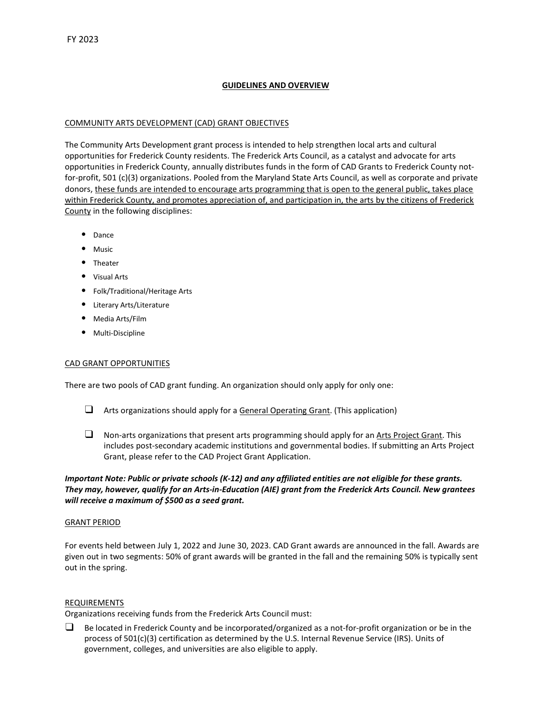# GUIDELINES AND OVERVIEW

#### COMMUNITY ARTS DEVELOPMENT (CAD) GRANT OBJECTIVES

The Community Arts Development grant process is intended to help strengthen local arts and cultural opportunities for Frederick County residents. The Frederick Arts Council, as a catalyst and advocate for arts opportunities in Frederick County, annually distributes funds in the form of CAD Grants to Frederick County notfor-profit, 501 (c)(3) organizations. Pooled from the Maryland State Arts Council, as well as corporate and private donors, these funds are intended to encourage arts programming that is open to the general public, takes place within Frederick County, and promotes appreciation of, and participation in, the arts by the citizens of Frederick County in the following disciplines:

- Dance
- Music
- Theater
- Visual Arts
- Folk/Traditional/Heritage Arts
- Literary Arts/Literature
- Media Arts/Film
- Multi-Discipline

#### CAD GRANT OPPORTUNITIES

There are two pools of CAD grant funding. An organization should only apply for only one:

- $\Box$  Arts organizations should apply for a General Operating Grant. (This application)
- $\Box$  Non-arts organizations that present arts programming should apply for an Arts Project Grant. This includes post-secondary academic institutions and governmental bodies. If submitting an Arts Project Grant, please refer to the CAD Project Grant Application.

Important Note: Public or private schools (K-12) and any affiliated entities are not eligible for these grants. They may, however, qualify for an Arts-in-Education (AIE) grant from the Frederick Arts Council. New grantees will receive a maximum of \$500 as a seed grant.

#### GRANT PERIOD

For events held between July 1, 2022 and June 30, 2023. CAD Grant awards are announced in the fall. Awards are given out in two segments: 50% of grant awards will be granted in the fall and the remaining 50% is typically sent out in the spring.

#### REQUIREMENTS

Organizations receiving funds from the Frederick Arts Council must:

 $\Box$  Be located in Frederick County and be incorporated/organized as a not-for-profit organization or be in the process of 501(c)(3) certification as determined by the U.S. Internal Revenue Service (IRS). Units of government, colleges, and universities are also eligible to apply.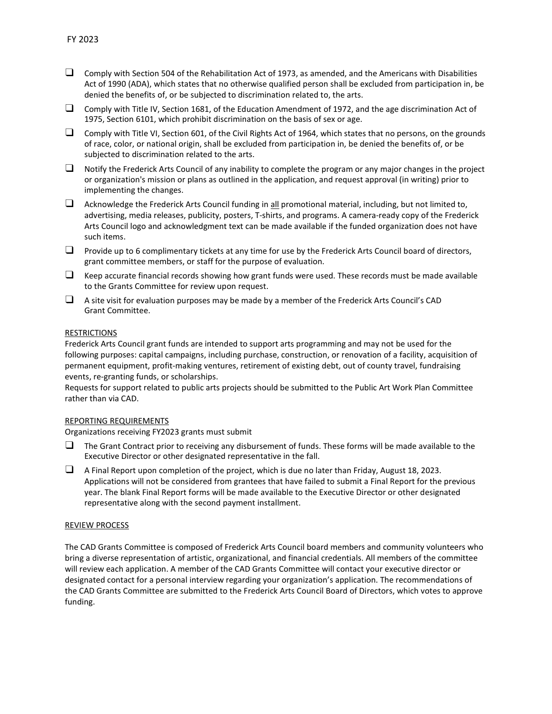- $\Box$  Comply with Section 504 of the Rehabilitation Act of 1973, as amended, and the Americans with Disabilities Act of 1990 (ADA), which states that no otherwise qualified person shall be excluded from participation in, be denied the benefits of, or be subjected to discrimination related to, the arts.
- ❑ Comply with Title IV, Section 1681, of the Education Amendment of 1972, and the age discrimination Act of 1975, Section 6101, which prohibit discrimination on the basis of sex or age.
- $\Box$  Comply with Title VI, Section 601, of the Civil Rights Act of 1964, which states that no persons, on the grounds of race, color, or national origin, shall be excluded from participation in, be denied the benefits of, or be subjected to discrimination related to the arts.
- $\Box$  Notify the Frederick Arts Council of any inability to complete the program or any major changes in the project or organization's mission or plans as outlined in the application, and request approval (in writing) prior to implementing the changes.
- $\Box$  Acknowledge the Frederick Arts Council funding in all promotional material, including, but not limited to, advertising, media releases, publicity, posters, T-shirts, and programs. A camera-ready copy of the Frederick Arts Council logo and acknowledgment text can be made available if the funded organization does not have such items.
- $\Box$  Provide up to 6 complimentary tickets at any time for use by the Frederick Arts Council board of directors, grant committee members, or staff for the purpose of evaluation.
- $\Box$  Keep accurate financial records showing how grant funds were used. These records must be made available to the Grants Committee for review upon request.
- ❑ A site visit for evaluation purposes may be made by a member of the Frederick Arts Council's CAD Grant Committee.

#### RESTRICTIONS

Frederick Arts Council grant funds are intended to support arts programming and may not be used for the following purposes: capital campaigns, including purchase, construction, or renovation of a facility, acquisition of permanent equipment, profit-making ventures, retirement of existing debt, out of county travel, fundraising events, re-granting funds, or scholarships.

Requests for support related to public arts projects should be submitted to the Public Art Work Plan Committee rather than via CAD.

#### REPORTING REQUIREMENTS

Organizations receiving FY2023 grants must submit

- $\Box$  The Grant Contract prior to receiving any disbursement of funds. These forms will be made available to the Executive Director or other designated representative in the fall.
- ❑ A Final Report upon completion of the project, which is due no later than Friday, August 18, 2023. Applications will not be considered from grantees that have failed to submit a Final Report for the previous year. The blank Final Report forms will be made available to the Executive Director or other designated representative along with the second payment installment.

#### REVIEW PROCESS

The CAD Grants Committee is composed of Frederick Arts Council board members and community volunteers who bring a diverse representation of artistic, organizational, and financial credentials. All members of the committee will review each application. A member of the CAD Grants Committee will contact your executive director or designated contact for a personal interview regarding your organization's application. The recommendations of the CAD Grants Committee are submitted to the Frederick Arts Council Board of Directors, which votes to approve funding.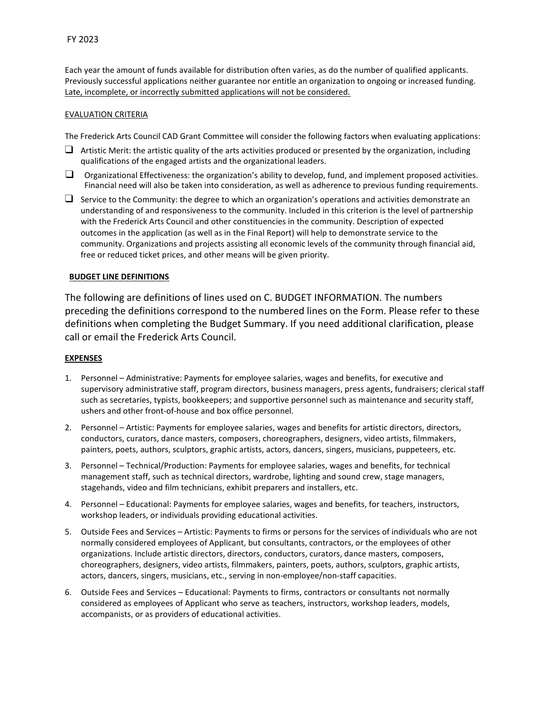Each year the amount of funds available for distribution often varies, as do the number of qualified applicants. Previously successful applications neither guarantee nor entitle an organization to ongoing or increased funding. Late, incomplete, or incorrectly submitted applications will not be considered.

## EVALUATION CRITERIA

The Frederick Arts Council CAD Grant Committee will consider the following factors when evaluating applications:

- $\Box$  Artistic Merit: the artistic quality of the arts activities produced or presented by the organization, including qualifications of the engaged artists and the organizational leaders.
- $\Box$  Organizational Effectiveness: the organization's ability to develop, fund, and implement proposed activities. Financial need will also be taken into consideration, as well as adherence to previous funding requirements.
- $\Box$  Service to the Community: the degree to which an organization's operations and activities demonstrate an understanding of and responsiveness to the community. Included in this criterion is the level of partnership with the Frederick Arts Council and other constituencies in the community. Description of expected outcomes in the application (as well as in the Final Report) will help to demonstrate service to the community. Organizations and projects assisting all economic levels of the community through financial aid, free or reduced ticket prices, and other means will be given priority.

#### BUDGET LINE DEFINITIONS

The following are definitions of lines used on C. BUDGET INFORMATION. The numbers preceding the definitions correspond to the numbered lines on the Form. Please refer to these definitions when completing the Budget Summary. If you need additional clarification, please call or email the Frederick Arts Council.

# EXPENSES

- 1. Personnel Administrative: Payments for employee salaries, wages and benefits, for executive and supervisory administrative staff, program directors, business managers, press agents, fundraisers; clerical staff such as secretaries, typists, bookkeepers; and supportive personnel such as maintenance and security staff, ushers and other front-of-house and box office personnel.
- 2. Personnel Artistic: Payments for employee salaries, wages and benefits for artistic directors, directors, conductors, curators, dance masters, composers, choreographers, designers, video artists, filmmakers, painters, poets, authors, sculptors, graphic artists, actors, dancers, singers, musicians, puppeteers, etc.
- 3. Personnel Technical/Production: Payments for employee salaries, wages and benefits, for technical management staff, such as technical directors, wardrobe, lighting and sound crew, stage managers, stagehands, video and film technicians, exhibit preparers and installers, etc.
- 4. Personnel Educational: Payments for employee salaries, wages and benefits, for teachers, instructors, workshop leaders, or individuals providing educational activities.
- 5. Outside Fees and Services Artistic: Payments to firms or persons for the services of individuals who are not normally considered employees of Applicant, but consultants, contractors, or the employees of other organizations. Include artistic directors, directors, conductors, curators, dance masters, composers, choreographers, designers, video artists, filmmakers, painters, poets, authors, sculptors, graphic artists, actors, dancers, singers, musicians, etc., serving in non-employee/non-staff capacities.
- 6. Outside Fees and Services Educational: Payments to firms, contractors or consultants not normally considered as employees of Applicant who serve as teachers, instructors, workshop leaders, models, accompanists, or as providers of educational activities.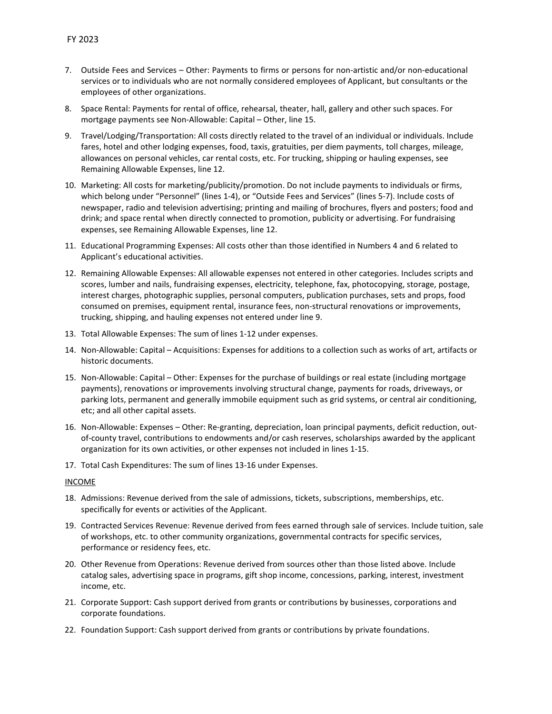- 7. Outside Fees and Services Other: Payments to firms or persons for non-artistic and/or non-educational services or to individuals who are not normally considered employees of Applicant, but consultants or the employees of other organizations.
- 8. Space Rental: Payments for rental of office, rehearsal, theater, hall, gallery and other such spaces. For mortgage payments see Non-Allowable: Capital – Other, line 15.
- 9. Travel/Lodging/Transportation: All costs directly related to the travel of an individual or individuals. Include fares, hotel and other lodging expenses, food, taxis, gratuities, per diem payments, toll charges, mileage, allowances on personal vehicles, car rental costs, etc. For trucking, shipping or hauling expenses, see Remaining Allowable Expenses, line 12.
- 10. Marketing: All costs for marketing/publicity/promotion. Do not include payments to individuals or firms, which belong under "Personnel" (lines 1-4), or "Outside Fees and Services" (lines 5-7). Include costs of newspaper, radio and television advertising; printing and mailing of brochures, flyers and posters; food and drink; and space rental when directly connected to promotion, publicity or advertising. For fundraising expenses, see Remaining Allowable Expenses, line 12.
- 11. Educational Programming Expenses: All costs other than those identified in Numbers 4 and 6 related to Applicant's educational activities.
- 12. Remaining Allowable Expenses: All allowable expenses not entered in other categories. Includes scripts and scores, lumber and nails, fundraising expenses, electricity, telephone, fax, photocopying, storage, postage, interest charges, photographic supplies, personal computers, publication purchases, sets and props, food consumed on premises, equipment rental, insurance fees, non-structural renovations or improvements, trucking, shipping, and hauling expenses not entered under line 9.
- 13. Total Allowable Expenses: The sum of lines 1-12 under expenses.
- 14. Non-Allowable: Capital Acquisitions: Expenses for additions to a collection such as works of art, artifacts or historic documents.
- 15. Non-Allowable: Capital Other: Expenses for the purchase of buildings or real estate (including mortgage payments), renovations or improvements involving structural change, payments for roads, driveways, or parking lots, permanent and generally immobile equipment such as grid systems, or central air conditioning, etc; and all other capital assets.
- 16. Non-Allowable: Expenses Other: Re-granting, depreciation, loan principal payments, deficit reduction, outof-county travel, contributions to endowments and/or cash reserves, scholarships awarded by the applicant organization for its own activities, or other expenses not included in lines 1-15.
- 17. Total Cash Expenditures: The sum of lines 13-16 under Expenses.

#### INCOME

- 18. Admissions: Revenue derived from the sale of admissions, tickets, subscriptions, memberships, etc. specifically for events or activities of the Applicant.
- 19. Contracted Services Revenue: Revenue derived from fees earned through sale of services. Include tuition, sale of workshops, etc. to other community organizations, governmental contracts for specific services, performance or residency fees, etc.
- 20. Other Revenue from Operations: Revenue derived from sources other than those listed above. Include catalog sales, advertising space in programs, gift shop income, concessions, parking, interest, investment income, etc.
- 21. Corporate Support: Cash support derived from grants or contributions by businesses, corporations and corporate foundations.
- 22. Foundation Support: Cash support derived from grants or contributions by private foundations.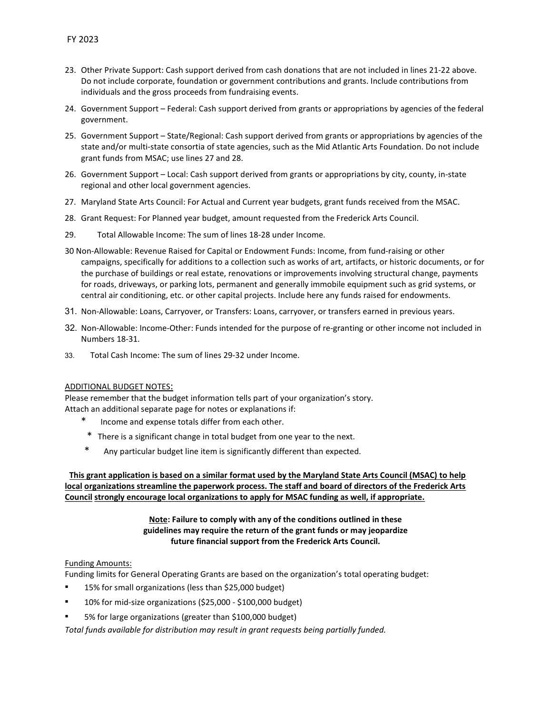- 23. Other Private Support: Cash support derived from cash donations that are not included in lines 21-22 above. Do not include corporate, foundation or government contributions and grants. Include contributions from individuals and the gross proceeds from fundraising events.
- 24. Government Support Federal: Cash support derived from grants or appropriations by agencies of the federal government.
- 25. Government Support State/Regional: Cash support derived from grants or appropriations by agencies of the state and/or multi-state consortia of state agencies, such as the Mid Atlantic Arts Foundation. Do not include grant funds from MSAC; use lines 27 and 28.
- 26. Government Support Local: Cash support derived from grants or appropriations by city, county, in-state regional and other local government agencies.
- 27. Maryland State Arts Council: For Actual and Current year budgets, grant funds received from the MSAC.
- 28. Grant Request: For Planned year budget, amount requested from the Frederick Arts Council.
- 29. Total Allowable Income: The sum of lines 18-28 under Income.
- 30 Non-Allowable: Revenue Raised for Capital or Endowment Funds: Income, from fund-raising or other campaigns, specifically for additions to a collection such as works of art, artifacts, or historic documents, or for the purchase of buildings or real estate, renovations or improvements involving structural change, payments for roads, driveways, or parking lots, permanent and generally immobile equipment such as grid systems, or central air conditioning, etc. or other capital projects. Include here any funds raised for endowments.
- 31. Non-Allowable: Loans, Carryover, or Transfers: Loans, carryover, or transfers earned in previous years.
- 32. Non-Allowable: Income-Other: Funds intended for the purpose of re-granting or other income not included in Numbers 18-31.
- 33. Total Cash Income: The sum of lines 29-32 under Income.

#### ADDITIONAL BUDGET NOTES:

Please remember that the budget information tells part of your organization's story. Attach an additional separate page for notes or explanations if:

- Income and expense totals differ from each other.
- \* There is a significant change in total budget from one year to the next.
- \* Any particular budget line item is significantly different than expected.

This grant application is based on a similar format used by the Maryland State Arts Council (MSAC) to help local organizations streamline the paperwork process. The staff and board of directors of the Frederick Arts Council strongly encourage local organizations to apply for MSAC funding as well, if appropriate.

# Note: Failure to comply with any of the conditions outlined in these guidelines may require the return of the grant funds or may jeopardize future financial support from the Frederick Arts Council.

# Funding Amounts:

Funding limits for General Operating Grants are based on the organization's total operating budget:

- 15% for small organizations (less than \$25,000 budget)
- 10% for mid-size organizations (\$25,000 \$100,000 budget)
- 5% for large organizations (greater than \$100,000 budget)

Total funds available for distribution may result in grant requests being partially funded.